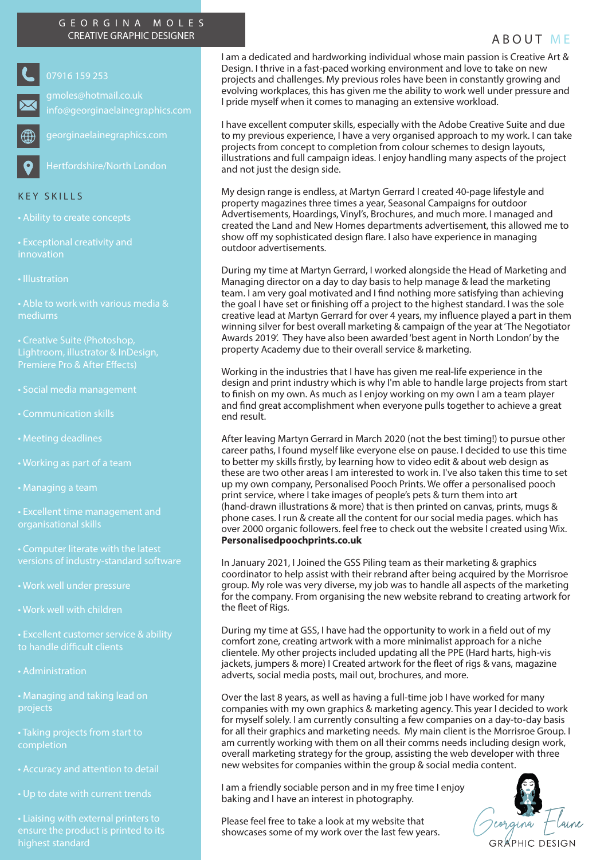## GEORGINA MOLES CREATIVE GRAPHIC DESIGNER ABOUT ME

07916 159 253

georginaelainegraphics.com

info@georginaelainegraphics.com

Hertfordshire/North London

## KEY SKILLS

• Exceptional creativity and innovation

• Illustration

mediums

Lightroom, illustrator & InDesign, Premiere Pro & After Effects)

- Social media management
- Communication skills
- Meeting deadlines
- 
- Managing a team
- Excellent time management and organisational skills
- 
- 
- Work well with children

• Excellent customer service & ability to handle difficult clients

• Administration

• Managing and taking lead on projects

• Taking projects from start to completion

• Up to date with current trends

highest standard

I am a dedicated and hardworking individual whose main passion is Creative Art & Design. I thrive in a fast-paced working environment and love to take on new projects and challenges. My previous roles have been in constantly growing and evolving workplaces, this has given me the ability to work well under pressure and I pride myself when it comes to managing an extensive workload.

I have excellent computer skills, especially with the Adobe Creative Suite and due to my previous experience, I have a very organised approach to my work. I can take projects from concept to completion from colour schemes to design layouts, illustrations and full campaign ideas. I enjoy handling many aspects of the project and not just the design side.

My design range is endless, at Martyn Gerrard I created 40-page lifestyle and property magazines three times a year, Seasonal Campaigns for outdoor Advertisements, Hoardings, Vinyl's, Brochures, and much more. I managed and created the Land and New Homes departments advertisement, this allowed me to show off my sophisticated design flare. I also have experience in managing outdoor advertisements.

During my time at Martyn Gerrard, I worked alongside the Head of Marketing and Managing director on a day to day basis to help manage & lead the marketing team. I am very goal motivated and I find nothing more satisfying than achieving the goal I have set or finishing off a project to the highest standard. I was the sole creative lead at Martyn Gerrard for over 4 years, my influence played a part in them winning silver for best overall marketing & campaign of the year at 'The Negotiator Awards 2019'. They have also been awarded 'best agent in North London' by the property Academy due to their overall service & marketing.

Working in the industries that I have has given me real-life experience in the design and print industry which is why I'm able to handle large projects from start to finish on my own. As much as I enjoy working on my own I am a team player and find great accomplishment when everyone pulls together to achieve a great end result.

After leaving Martyn Gerrard in March 2020 (not the best timing!) to pursue other career paths, I found myself like everyone else on pause. I decided to use this time to better my skills firstly, by learning how to video edit & about web design as these are two other areas I am interested to work in. I've also taken this time to set up my own company, Personalised Pooch Prints. We offer a personalised pooch print service, where I take images of people's pets & turn them into art (hand-drawn illustrations & more) that is then printed on canvas, prints, mugs & phone cases. I run & create all the content for our social media pages. which has over 2000 organic followers. feel free to check out the website I created using Wix. **Personalisedpoochprints.co.uk**

In January 2021, I Joined the GSS Piling team as their marketing & graphics coordinator to help assist with their rebrand after being acquired by the Morrisroe group. My role was very diverse, my job was to handle all aspects of the marketing for the company. From organising the new website rebrand to creating artwork for the fleet of Rigs.

During my time at GSS, I have had the opportunity to work in a field out of my comfort zone, creating artwork with a more minimalist approach for a niche clientele. My other projects included updating all the PPE (Hard harts, high-vis jackets, jumpers & more) I Created artwork for the fleet of rigs & vans, magazine adverts, social media posts, mail out, brochures, and more.

Over the last 8 years, as well as having a full-time job I have worked for many companies with my own graphics & marketing agency. This year I decided to work for myself solely. I am currently consulting a few companies on a day-to-day basis for all their graphics and marketing needs. My main client is the Morrisroe Group. I am currently working with them on all their comms needs including design work, overall marketing strategy for the group, assisting the web developer with three new websites for companies within the group & social media content.

I am a friendly sociable person and in my free time I enjoy baking and I have an interest in photography.

Please feel free to take a look at my website that showcases some of my work over the last few years.